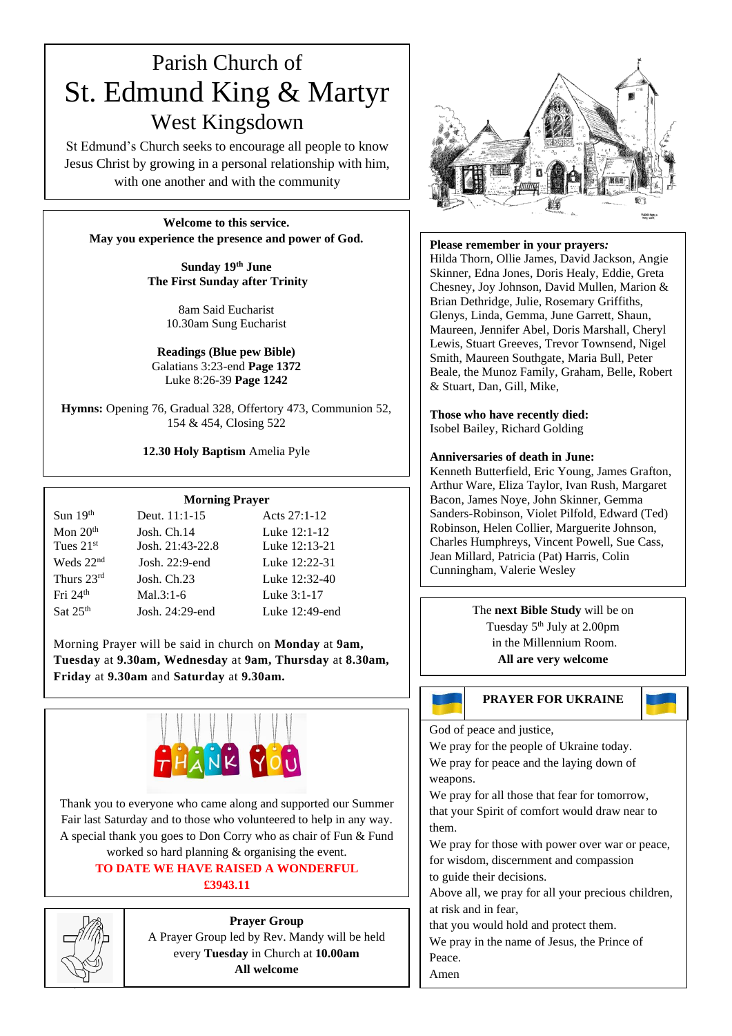# Parish Church of St. Edmund King & Martyr West Kingsdown

St Edmund's Church seeks to encourage all people to know Jesus Christ by growing in a personal relationship with him, with one another and with the community

**Welcome to this service. May you experience the presence and power of God.**

> **Sunday 19 th June The First Sunday after Trinity**

> > 8am Said Eucharist 10.30am Sung Eucharist

**Readings (Blue pew Bible)** Galatians 3:23-end **Page 1372** Luke 8:26-39 **Page 1242**

**Hymns:** Opening 76, Gradual 328, Offertory 473, Communion 52, 154 & 454, Closing 522

### **12.30 Holy Baptism** Amelia Pyle

### **Morning Prayer**

| Sun $19th$   | Deut. $11:1-15$   | Acts $27:1-12$ |
|--------------|-------------------|----------------|
| Mon $20th$   | Josh. Ch.14       | Luke 12:1-12   |
| Tues $21st$  | Josh. 21:43-22.8  | Luke 12:13-21  |
| Weds $22nd$  | Josh. $22:9$ -end | Luke 12:22-31  |
| Thurs $23rd$ | Josh. $Ch.23$     | Luke 12:32-40  |
| Fri $24th$   | $Mal.3:1-6$       | Luke 3:1-17    |
| Sat $25th$   | Josh. 24:29-end   | Luke 12:49-end |

Morning Prayer will be said in church on **Monday** at **9am, Tuesday** at **9.30am, Wednesday** at **9am, Thursday** at **8.30am, Friday** at **9.30am** and **Saturday** at **9.30am.**



Thank you to everyone who came along and supported our Summer Fair last Saturday and to those who volunteered to help in any way. A special thank you goes to Don Corry who as chair of Fun & Fund worked so hard planning & organising the event. **TO DATE WE HAVE RAISED A WONDERFUL**

### **£3943.11**



**Prayer Group** A Prayer Group led by Rev. Mandy will be held every **Tuesday** in Church at **10.00am All welcome**



**Please remember in your prayers***:*

Hilda Thorn, Ollie James, David Jackson, Angie Skinner, Edna Jones, Doris Healy, Eddie, Greta Chesney, Joy Johnson, David Mullen, Marion & Brian Dethridge, Julie, Rosemary Griffiths, Glenys, Linda, Gemma, June Garrett, Shaun, Maureen, Jennifer Abel, Doris Marshall, Cheryl Lewis, Stuart Greeves, Trevor Townsend, Nigel Smith, Maureen Southgate, Maria Bull, Peter Beale, the Munoz Family, Graham, Belle, Robert & Stuart, Dan, Gill, Mike,

**Those who have recently died:** Isobel Bailey, Richard Golding

### **Anniversaries of death in June:**

Kenneth Butterfield, Eric Young, James Grafton, Arthur Ware, Eliza Taylor, Ivan Rush, Margaret Bacon, James Noye, John Skinner, Gemma Sanders-Robinson, Violet Pilfold, Edward (Ted) Robinson, Helen Collier, Marguerite Johnson, Charles Humphreys, Vincent Powell, Sue Cass, Jean Millard, Patricia (Pat) Harris, Colin Cunningham, Valerie Wesley

> The **next Bible Study** will be on Tuesday 5<sup>th</sup> July at 2.00pm in the Millennium Room. **All are very welcome**

### **PRAYER FOR UKRAINE**

God of peace and justice,

We pray for the people of Ukraine today. We pray for peace and the laying down of weapons.

We pray for all those that fear for tomorrow, that your Spirit of comfort would draw near to them.

We pray for those with power over war or peace, for wisdom, discernment and compassion to guide their decisions.

Above all, we pray for all your precious children, at risk and in fear,

that you would hold and protect them.

We pray in the name of Jesus, the Prince of Peace.

Amen